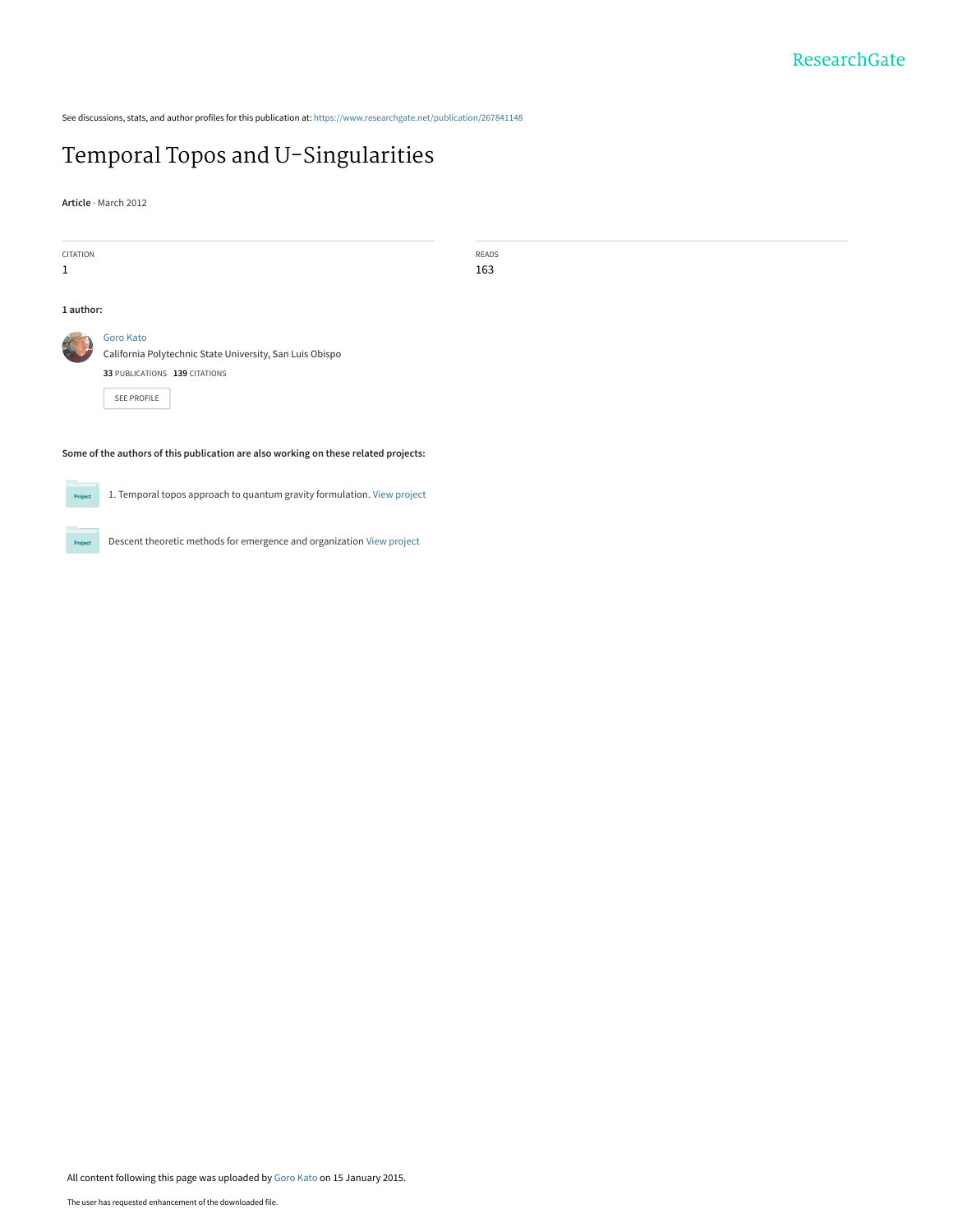See discussions, stats, and author profiles for this publication at: [https://www.researchgate.net/publication/267841148](https://www.researchgate.net/publication/267841148_Temporal_Topos_and_U-Singularities?enrichId=rgreq-e4a4f09f40b5b38a5b46b603e7cf361b-XXX&enrichSource=Y292ZXJQYWdlOzI2Nzg0MTE0ODtBUzoxODU5MzgyNjUyNTU5MzZAMTQyMTM0MjU0NjAxOA%3D%3D&el=1_x_2&_esc=publicationCoverPdf)

# [Temporal Topos and U-Singularities](https://www.researchgate.net/publication/267841148_Temporal_Topos_and_U-Singularities?enrichId=rgreq-e4a4f09f40b5b38a5b46b603e7cf361b-XXX&enrichSource=Y292ZXJQYWdlOzI2Nzg0MTE0ODtBUzoxODU5MzgyNjUyNTU5MzZAMTQyMTM0MjU0NjAxOA%3D%3D&el=1_x_3&_esc=publicationCoverPdf)

**Article** · March 2012

| CITATION                                                                            |                                                          | READS |
|-------------------------------------------------------------------------------------|----------------------------------------------------------|-------|
| $\mathbf{1}$                                                                        |                                                          | 163   |
|                                                                                     |                                                          |       |
| 1 author:                                                                           |                                                          |       |
|                                                                                     |                                                          |       |
| S                                                                                   | <b>Goro Kato</b>                                         |       |
|                                                                                     | California Polytechnic State University, San Luis Obispo |       |
|                                                                                     | 33 PUBLICATIONS 139 CITATIONS                            |       |
|                                                                                     |                                                          |       |
|                                                                                     | SEE PROFILE                                              |       |
|                                                                                     |                                                          |       |
|                                                                                     |                                                          |       |
| Some of the authors of this publication are also working on these related projects: |                                                          |       |
|                                                                                     |                                                          |       |



1. Temporal topos approach to quantum gravity formulation. [View project](https://www.researchgate.net/project/1-Temporal-topos-approach-to-quantum-gravity-formulation?enrichId=rgreq-e4a4f09f40b5b38a5b46b603e7cf361b-XXX&enrichSource=Y292ZXJQYWdlOzI2Nzg0MTE0ODtBUzoxODU5MzgyNjUyNTU5MzZAMTQyMTM0MjU0NjAxOA%3D%3D&el=1_x_9&_esc=publicationCoverPdf)



Descent theoretic methods for emergence and organization [View project](https://www.researchgate.net/project/Descent-theoretic-methods-for-emergence-and-organization?enrichId=rgreq-e4a4f09f40b5b38a5b46b603e7cf361b-XXX&enrichSource=Y292ZXJQYWdlOzI2Nzg0MTE0ODtBUzoxODU5MzgyNjUyNTU5MzZAMTQyMTM0MjU0NjAxOA%3D%3D&el=1_x_9&_esc=publicationCoverPdf)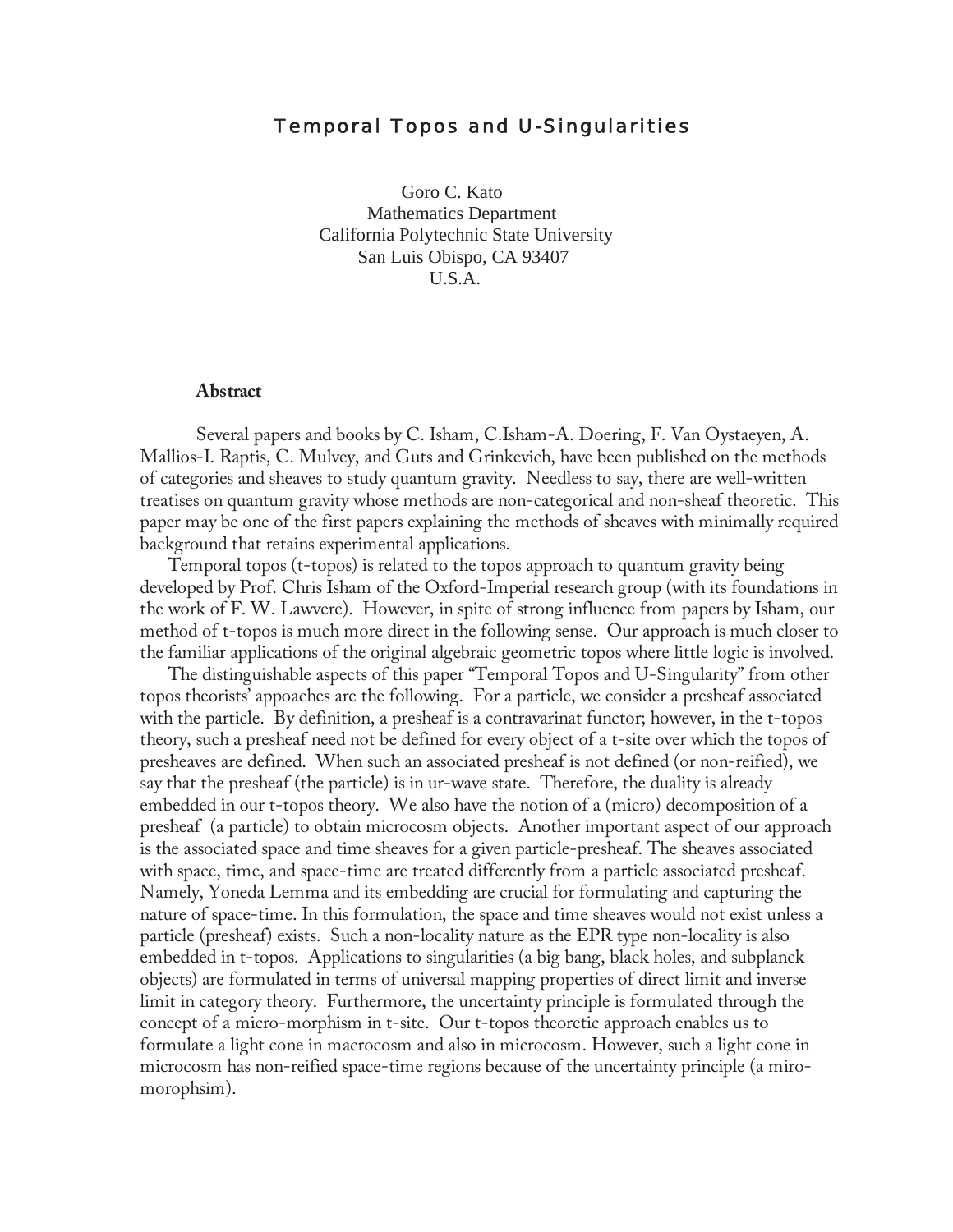## Temporal Topos and U-Singularities

 Goro C. Kato Mathematics Department California Polytechnic State University San Luis Obispo, CA 93407 U.S.A.

#### **Abstract**

 background that retains experimental applications. Several papers and books by C. Isham, C.Isham-A. Doering, F. Van Oystaeyen, A. Mallios-I. Raptis, C. Mulvey, and Guts and Grinkevich, have been published on the methods of categories and sheaves to study quantum gravity. Needless to say, there are well-written treatises on quantum gravity whose methods are non-categorical and non-sheaf theoretic. This paper may be one of the first papers explaining the methods of sheaves with minimally required

Temporal topos (t-topos) is related to the topos approach to quantum gravity being developed by Prof. Chris Isham of the Oxford-Imperial research group (with its foundations in the work of F. W. Lawvere). However, in spite of strong influence from papers by Isham, our method of t-topos is much more direct in the following sense. Our approach is much closer to the familiar applications of the original algebraic geometric topos where little logic is involved.

 with space, time, and space-time are treated differently from a particle associated presheaf. The distinguishable aspects of this paper "Temporal Topos and U-Singularity" from other topos theorists' appoaches are the following. For a particle, we consider a presheaf associated with the particle. By definition, a presheaf is a contravarinat functor; however, in the t-topos theory, such a presheaf need not be defined for every object of a t-site over which the topos of presheaves are defined. When such an associated presheaf is not defined (or non-reified), we say that the presheaf (the particle) is in ur-wave state. Therefore, the duality is already embedded in our t-topos theory. We also have the notion of a (micro) decomposition of a presheaf (a particle) to obtain microcosm objects. Another important aspect of our approach is the associated space and time sheaves for a given particle-presheaf. The sheaves associated Namely, Yoneda Lemma and its embedding are crucial for formulating and capturing the nature of space-time. In this formulation, the space and time sheaves would not exist unless a particle (presheaf) exists. Such a non-locality nature as the EPR type non-locality is also embedded in t-topos. Applications to singularities (a big bang, black holes, and subplanck objects) are formulated in terms of universal mapping properties of direct limit and inverse limit in category theory. Furthermore, the uncertainty principle is formulated through the concept of a micro-morphism in t-site. Our t-topos theoretic approach enables us to formulate a light cone in macrocosm and also in microcosm. However, such a light cone in microcosm has non-reified space-time regions because of the uncertainty principle (a miromorophsim).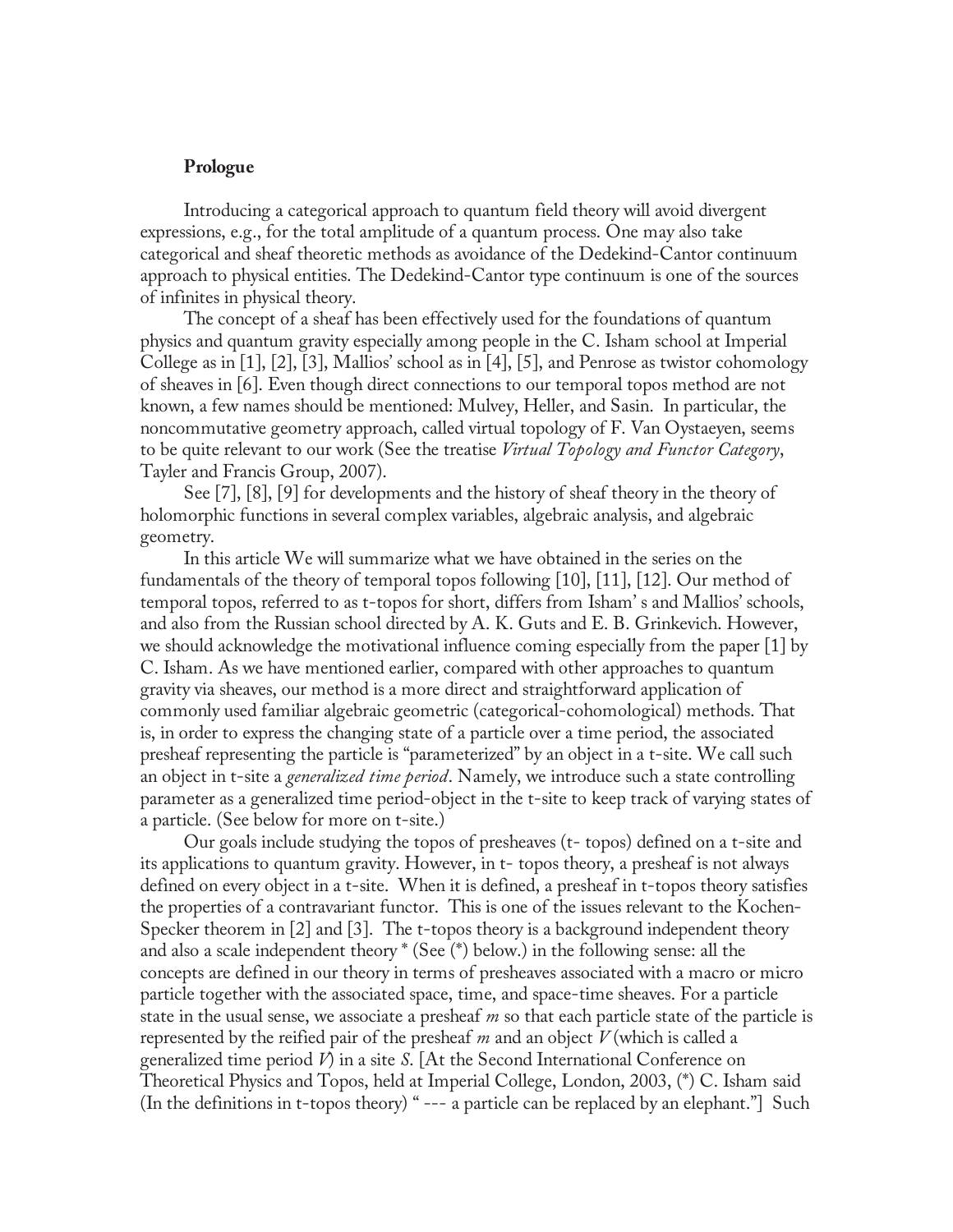#### **Prologue**

 of infinites in physical theory. Introducing a categorical approach to quantum field theory will avoid divergent expressions, e.g., for the total amplitude of a quantum process. One may also take categorical and sheaf theoretic methods as avoidance of the Dedekind-Cantor continuum approach to physical entities. The Dedekind-Cantor type continuum is one of the sources

The concept of a sheaf has been effectively used for the foundations of quantum physics and quantum gravity especially among people in the C. Isham school at Imperial College as in [1], [2], [3], Mallios' school as in [4], [5], and Penrose as twistor cohomology of sheaves in [6]. Even though direct connections to our temporal topos method are not known, a few names should be mentioned: Mulvey, Heller, and Sasin. In particular, the noncommutative geometry approach, called virtual topology of F. Van Oystaeyen, seems to be quite relevant to our work (See the treatise *Virtual Topology and Functor Category*, Tayler and Francis Group, 2007).

 geometry. See [7], [8], [9] for developments and the history of sheaf theory in the theory of holomorphic functions in several complex variables, algebraic analysis, and algebraic

In this article We will summarize what we have obtained in the series on the fundamentals of the theory of temporal topos following [10], [11], [12]. Our method of temporal topos, referred to as t-topos for short, differs from Isham' s and Mallios' schools, and also from the Russian school directed by A. K. Guts and E. B. Grinkevich. However, we should acknowledge the motivational influence coming especially from the paper [1] by C. Isham. As we have mentioned earlier, compared with other approaches to quantum gravity via sheaves, our method is a more direct and straightforward application of commonly used familiar algebraic geometric (categorical-cohomological) methods. That is, in order to express the changing state of a particle over a time period, the associated presheaf representing the particle is "parameterized" by an object in a t-site. We call such an object in t-site a *generalized time period*. Namely, we introduce such a state controlling parameter as a generalized time period-object in the t-site to keep track of varying states of a particle. (See below for more on t-site.)

Our goals include studying the topos of presheaves (t- topos) defined on a t-site and its applications to quantum gravity. However, in t- topos theory, a presheaf is not always defined on every object in a t-site. When it is defined, a presheaf in t-topos theory satisfies the properties of a contravariant functor. This is one of the issues relevant to the Kochen-Specker theorem in [2] and [3]. The t-topos theory is a background independent theory and also a scale independent theory \* (See (\*) below.) in the following sense: all the concepts are defined in our theory in terms of presheaves associated with a macro or micro particle together with the associated space, time, and space-time sheaves. For a particle state in the usual sense, we associate a presheaf *m* so that each particle state of the particle is represented by the reified pair of the presheaf *m* and an object *V* (which is called a generalized time period *V*) in a site *S*. [At the Second International Conference on Theoretical Physics and Topos, held at Imperial College, London, 2003, (\*) C. Isham said (In the definitions in t-topos theory) " --- a particle can be replaced by an elephant."] Such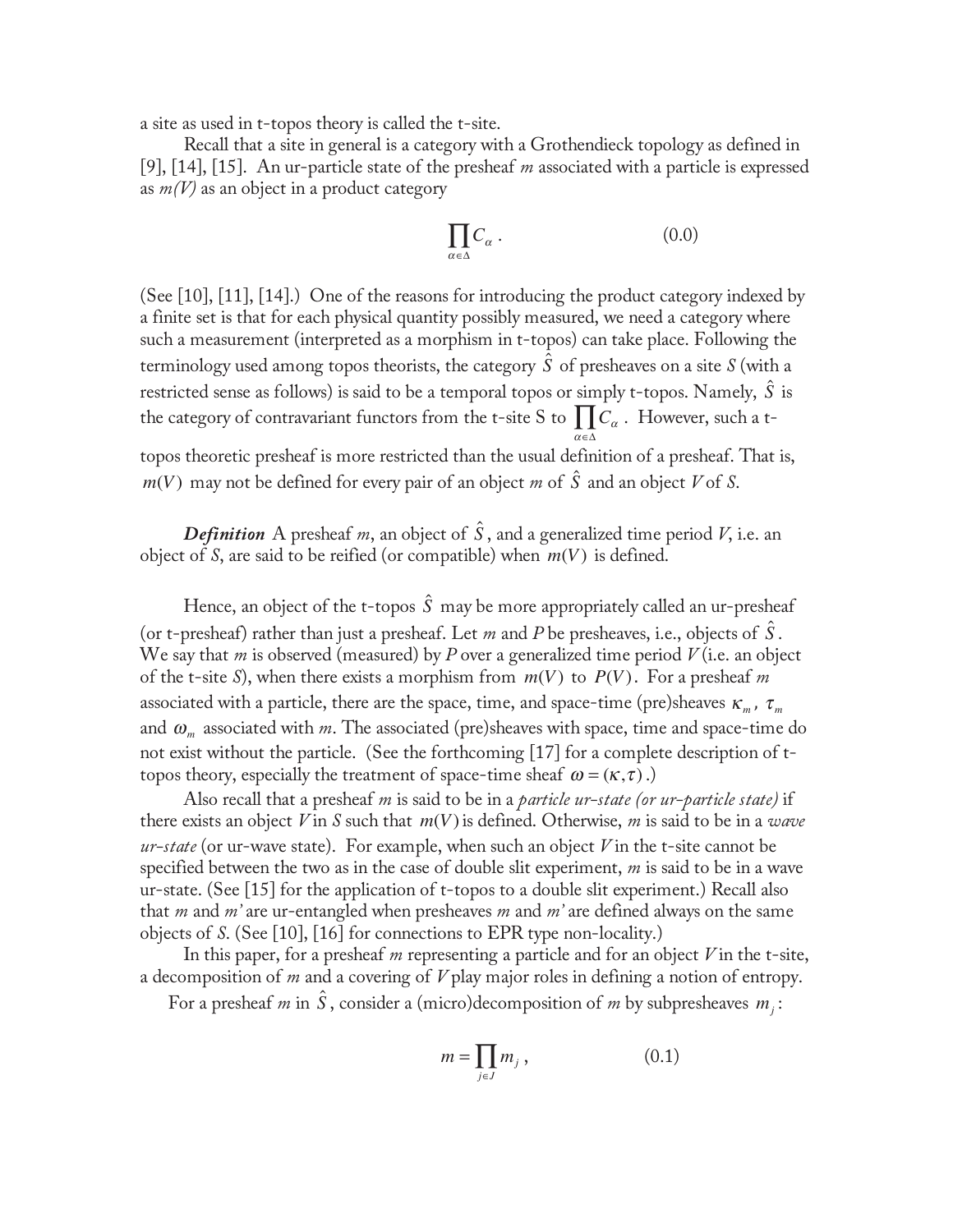a site as used in t-topos theory is called the t-site.

Recall that a site in general is a category with a Grothendieck topology as defined in [9], [14], [15]. An ur-particle state of the presheaf *m* associated with a particle is expressed as *m(V)* as an object in a product category

$$
\prod_{\alpha \in \Delta} C_{\alpha} \ . \tag{0.0}
$$

(See [10], [11], [14].) One of the reasons for introducing the product category indexed by a finite set is that for each physical quantity possibly measured, we need a category where such a measurement (interpreted as a morphism in t-topos) can take place. Following the terminology used among topos theorists, the category  $\hat{S}$  of presheaves on a site  $S$  (with a restricted sense as follows) is said to be a temporal topos or simply t-topos. Namely,  $\hat{S}$  is the category of contravariant functors from the t-site S to  $\prod C_{\alpha}$ . However, such a t<sup>α</sup> ∈Δ topos theoretic presheaf is more restricted than the usual definition of a presheaf. That is,  $m(V)$  may not be defined for every pair of an object  $m$  of  $\hat{S}$  and an object  $V$  of  $S$ .

 $\boldsymbol{Definition}$  A presheaf  $m,$  an object of  $\hat{S}$  , and a generalized time period  $V$ , i.e. an object of *S*, are said to be reified (or compatible) when *m*(*V*) is defined.

topos theory, especially the treatment of space-time sheaf  $\omega = (\kappa, \tau)$ .) Hence, an object of the t-topos  $\hat{S}$  may be more appropriately called an ur-presheaf (or t-presheaf) rather than just a presheaf. Let  $m$  and  $P$  be presheaves, i.e., objects of  $\hat{S}$ . We say that *m* is observed (measured) by *P* over a generalized time period *V* (i.e. an object of the t-site *S*), when there exists a morphism from  $m(V)$  to  $P(V)$ . For a presheaf *m* associated with a particle, there are the space, time, and space-time (pre)sheaves  $\kappa_m$ ,  $\tau_m$ and  $\omega_m$  associated with *m*. The associated (pre)sheaves with space, time and space-time do not exist without the particle. (See the forthcoming [17] for a complete description of t-

 objects of *S*. (See [10], [16] for connections to EPR type non-locality.) Also recall that a presheaf *m* is said to be in a *particle ur-state (or ur-particle state)* if there exists an object  $V$  in  $S$  such that  $m(V)$  is defined. Otherwise,  $m$  is said to be in a *wave ur-state* (or ur-wave state). For example, when such an object *V* in the t-site cannot be specified between the two as in the case of double slit experiment, *m* is said to be in a wave ur-state. (See [15] for the application of t-topos to a double slit experiment.) Recall also that *m* and *m'* are ur-entangled when presheaves *m* and *m'* are defined always on the same

a decomposition of  $m$  and a covering of  $V$  play major roles in defining a notion of entropy. In this paper, for a presheaf *m* representing a particle and for an object *V* in the t-site, a decomposition of *m* and a covering of *V* play major roles in defining a notion of entropy.<br>For a presheaf *m* in  $\hat{S}$ , consider a (micro)decomposition of *m* by subpresheaves  $m_j$ :

$$
m = \prod_{j \in J} m_j \,, \tag{0.1}
$$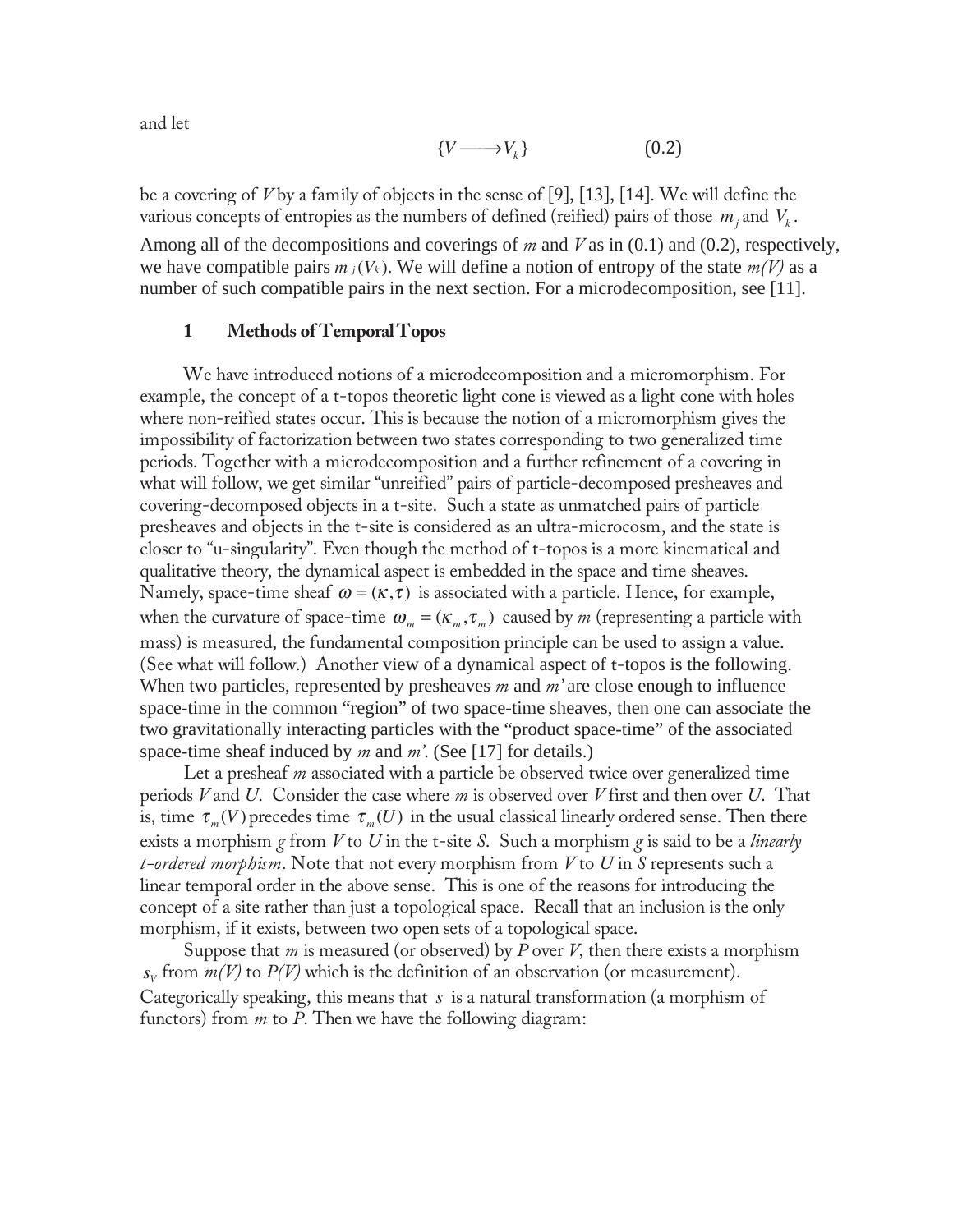and let

$$
\{V \longrightarrow V_k\} \tag{0.2}
$$

be a covering of *V* by a family of objects in the sense of [9], [13], [14]. We will define the various concepts of entropies as the numbers of defined (reified) pairs of those  $m_i$  and  $V_k$ . Among all of the decompositions and coverings of *m* and *V* as in (0.1) and (0.2), respectively, we have compatible pairs  $m_j(V_k)$ . We will define a notion of entropy of the state  $m(V)$  as a number of such compatible pairs in the next section. For a microdecomposition, see [11].

#### **1 Methods of Temporal Topos**

We have introduced notions of a microdecomposition and a micromorphism. For example, the concept of a t-topos theoretic light cone is viewed as a light cone with holes where non-reified states occur. This is because the notion of a micromorphism gives the impossibility of factorization between two states corresponding to two generalized time periods. Together with a microdecomposition and a further refinement of a covering in what will follow, we get similar "unreified" pairs of particle-decomposed presheaves and covering-decomposed objects in a t-site. Such a state as unmatched pairs of particle presheaves and objects in the t-site is considered as an ultra-microcosm, and the state is closer to "u-singularity". Even though the method of t-topos is a more kinematical and qualitative theory, the dynamical aspect is embedded in the space and time sheaves. Namely, space-time sheaf  $\omega = (\kappa, \tau)$  is associated with a particle. Hence, for example, when the curvature of space-time  $\omega_m = (\kappa_m, \tau_m)$  caused by *m* (representing a particle with mass) is measured, the fundamental composition principle can be used to assign a value. (See what will follow.) Another view of a dynamical aspect of t-topos is the following. When two particles, represented by presheaves *m* and *m'* are close enough to influence space-time in the common "region" of two space-time sheaves, then one can associate the two gravitationally interacting particles with the "product space-time" of the associated space-time sheaf induced by *m* and *m'*. (See [17] for details.)

 morphism, if it exists, between two open sets of a topological space. Let a presheaf *m* associated with a particle be observed twice over generalized time periods *V* and *U*. Consider the case where *m* is observed over *V* first and then over *U*. That is, time  $\tau_m(V)$  precedes time  $\tau_m(U)$  in the usual classical linearly ordered sense. Then there exists a morphism *g* from *V* to *U* in the t-site *S*. Such a morphism *g* is said to be a *linearly t-ordered morphism*. Note that not every morphism from *V* to *U* in *S* represents such a linear temporal order in the above sense. This is one of the reasons for introducing the concept of a site rather than just a topological space. Recall that an inclusion is the only

 Suppose that *m* is measured (or observed) by *P* over *V*, then there exists a morphism  $s_V$  from  $m(V)$  to  $P(V)$  which is the definition of an observation (or measurement). Categorically speaking, this means that *s* is a natural transformation (a morphism of functors) from *m* to *P*. Then we have the following diagram: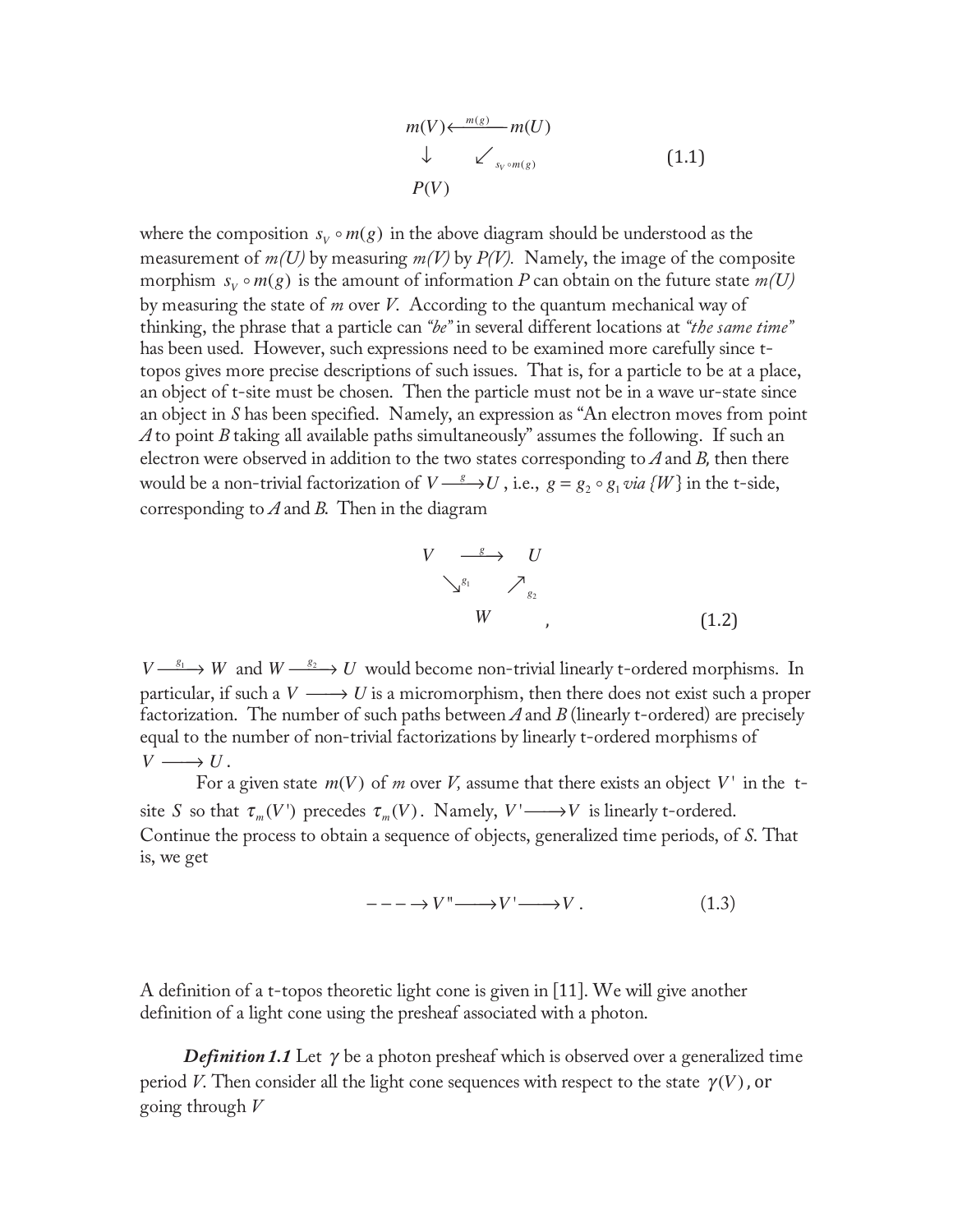$$
m(V) \leftarrow \frac{m(g)}{m(U)}
$$
  
\n
$$
\downarrow \qquad \swarrow
$$
  
\n
$$
P(V)
$$
  
\n(1.1)

where the composition  $s_v \circ m(g)$  in the above diagram should be understood as the measurement of  $m(U)$  by measuring  $m(V)$  by  $P(V)$ . Namely, the image of the composite morphism  $s_v \circ m(g)$  is the amount of information *P* can obtain on the future state  $m(U)$ by measuring the state of *m* over *V*. According to the quantum mechanical way of thinking, the phrase that a particle can *"be"* in several different locations at *"the same time"* has been used. However, such expressions need to be examined more carefully since ttopos gives more precise descriptions of such issues. That is, for a particle to be at a place, an object of t-site must be chosen. Then the particle must not be in a wave ur-state since an object in *S* has been specified. Namely, an expression as "An electron moves from point *A* to point *B* taking all available paths simultaneously" assumes the following. If such an electron were observed in addition to the two states corresponding to  $A$  and  $B$ , then there would be a non-trivial factorization of  $V \rightarrow V$ , i.e.,  $g = g_2 \circ g_1 \text{ via } \{W\}$  in the t-side, corresponding to  $A$  and  $B$ . Then in the diagram

$$
V \xrightarrow{\phantom{S}} U
$$
  
\n
$$
\searrow^{g_1} \nearrow_{g_2}
$$
  
\n
$$
W \qquad , \qquad (1.2)
$$

 $V \xrightarrow{g_1} W$  and  $W \xrightarrow{g_2} U$  would become non-trivial linearly t-ordered morphisms. In particular, if such a  $V \longrightarrow U$  is a micromorphism, then there does not exist such a proper factorization. The number of such paths between  $A$  and  $B$  (linearly t-ordered) are precisely equal to the number of non-trivial factorizations by linearly t-ordered morphisms of  $V \longrightarrow U$ .

For a given state  $m(V)$  of *m* over *V*, assume that there exists an object *V*<sup> $\cdot$ </sup> in the tsite *S* so that  $\tau_m(V')$  precedes  $\tau_m(V)$ . Namely,  $V' \longrightarrow V$  is linearly t-ordered. Continue the process to obtain a sequence of objects, generalized time periods, of *S*. That is, we get

$$
--- \to V" \longrightarrow V' \longrightarrow V.
$$
 (1.3)

A definition of a t-topos theoretic light cone is given in [11]. We will give another definition of a light cone using the presheaf associated with a photon.

 going through *V Definition 1.1* Let  $\gamma$  be a photon presheaf which is observed over a generalized time period *V*. Then consider all the light cone sequences with respect to the state  $\gamma(V)$ , or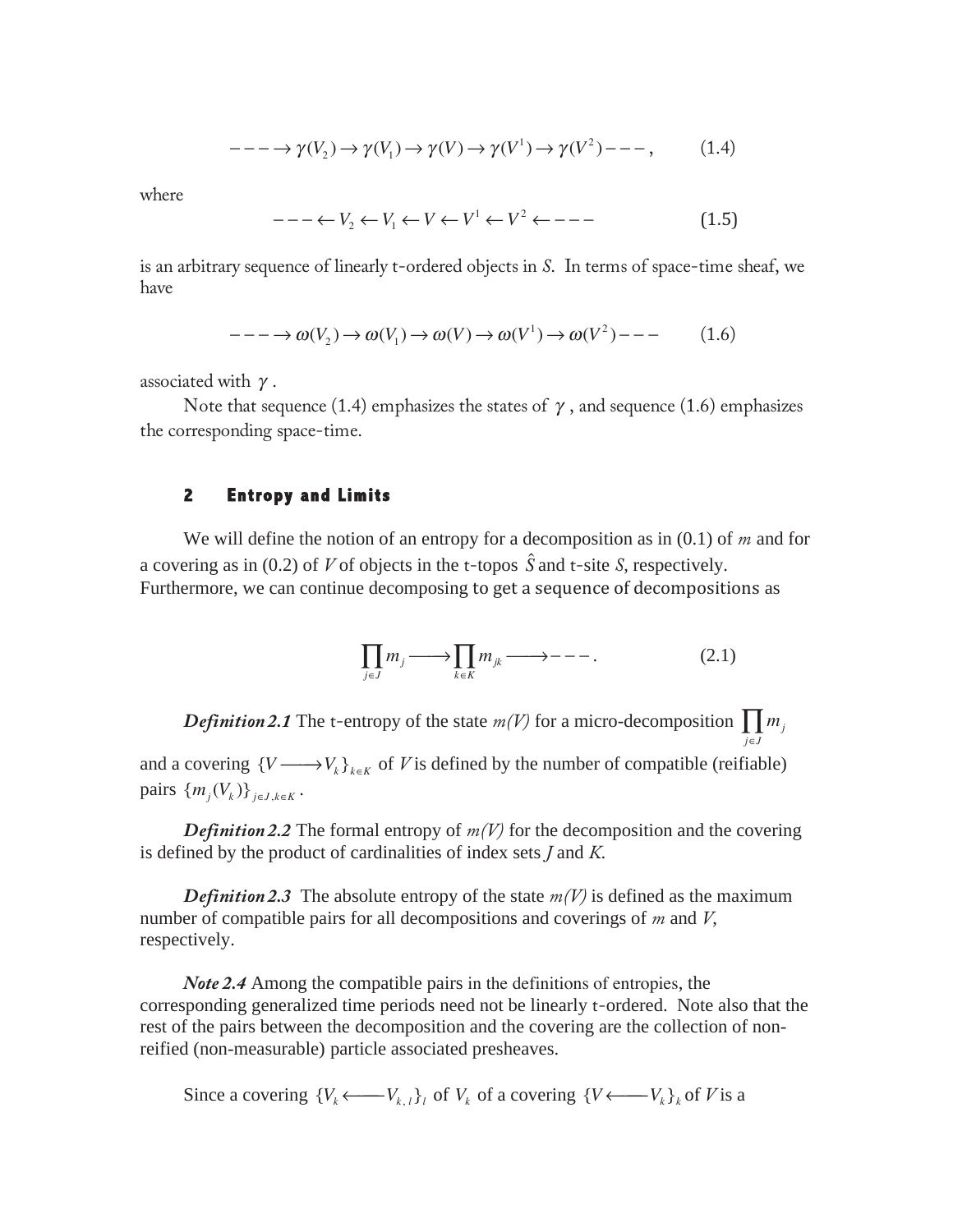$$
---\to \gamma(V_2)\to \gamma(V_1)\to \gamma(V)\to \gamma(V^1)\to \gamma(V^2)\to -\,,\tag{1.4}
$$

where

$$
--- \leftarrow V_2 \leftarrow V_1 \leftarrow V \leftarrow V^1 \leftarrow V^2 \leftarrow --- \tag{1.5}
$$

is an arbitrary sequence of linearly t-ordered objects in *S*. In terms of space-time sheaf, we have

$$
---\to \omega(V_2) \to \omega(V_1) \to \omega(V) \to \omega(V^1) \to \omega(V^2) --- \tag{1.6}
$$

associated with  $\gamma$ .

Note that sequence (1.4) emphasizes the states of  $\gamma$ , and sequence (1.6) emphasizes the corresponding space-time.

#### **2 Entropy and Limits**

We will define the notion of an entropy for a decomposition as in (0.1) of *m* and for a covering as in (0.2) of *V* of objects in the t-topos  $\hat{S}$  and t-site *S*, respectively. Furthermore, we can continue decomposing to get a sequence of decompositions as

$$
\prod_{j\in J} m_j \longrightarrow \prod_{k\in K} m_{jk} \longrightarrow --- \tag{2.1}
$$

*Definition 2.1* The t-entropy of the state  $m(V)$  for a micro-decomposition  $\prod m_j$ *j*∈*J* and a covering  ${V \longrightarrow V_k}_{k \in K}$  of *V* is defined by the number of compatible (reifiable) pairs  $\{m_i(V_k)\}_{i \in J, k \in K}$ .

*Definition 2.2* The formal entropy of  $m(V)$  for the decomposition and the covering is defined by the product of cardinalities of index sets *J* and *K*.

*Definition 2.3* The absolute entropy of the state  $m(V)$  is defined as the maximum number of compatible pairs for all decompositions and coverings of *m* and *V*, respectively.

*Note 2.4* Among the compatible pairs in the definitions of entropies, the corresponding generalized time periods need not be linearly t-ordered. Note also that the rest of the pairs between the decomposition and the covering are the collection of nonreified (non-measurable) particle associated presheaves.

Since a covering  ${V_k \leftarrow V_{k,l}}$  of  $V_k$  of a covering  ${V \leftarrow V_k}_{k}$  of *V* is a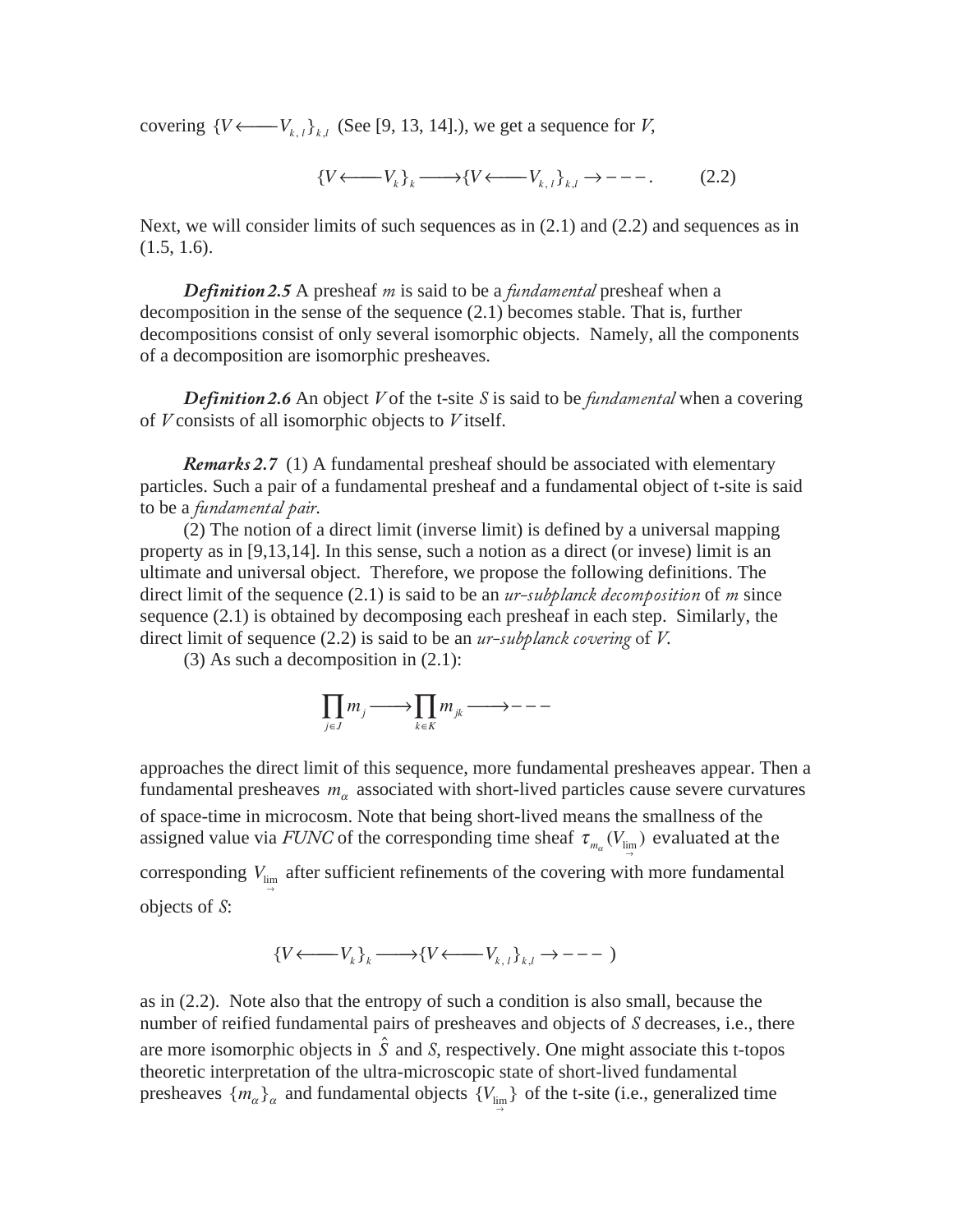covering  ${V \leftarrow V_{k,l}}_{k,l}$  (See [9, 13, 14].), we get a sequence for *V*,

$$
\{V \longleftarrow V_k\}_k \longrightarrow \{V \longleftarrow V_{k,l}\}_{k,l} \rightarrow \cdots \tag{2.2}
$$

Next, we will consider limits of such sequences as in  $(2.1)$  and  $(2.2)$  and sequences as in  $(1.5, 1.6).$ 

 *Definition 2.5* A presheaf *m* is said to be a *fundamental* presheaf when a decomposition in the sense of the sequence (2.1) becomes stable. That is, further decompositions consist of only several isomorphic objects. Namely, all the components of a decomposition are isomorphic presheaves.

*Definition 2.6* An object *V* of the t-site *S* is said to be *fundamental* when a covering of *V* consists of all isomorphic objects to *V* itself.

*Remarks 2.7* (1) A fundamental presheaf should be associated with elementary particles. Such a pair of a fundamental presheaf and a fundamental object of t-site is said to be a *fundamental pair*.

(2) The notion of a direct limit (inverse limit) is defined by a universal mapping property as in [9,13,14]. In this sense, such a notion as a direct (or invese) limit is an ultimate and universal object. Therefore, we propose the following definitions. The direct limit of the sequence (2.1) is said to be an *ur-subplanck decomposition* of *m* since sequence (2.1) is obtained by decomposing each presheaf in each step. Similarly, the direct limit of sequence (2.2) is said to be an *ur-subplanck covering* of *V*.

(3) As such a decomposition in (2.1):

$$
\prod_{j\in J}m_j{\longrightarrow} \prod_{k\in K}m_{jk}{\longrightarrow}---
$$

approaches the direct limit of this sequence, more fundamental presheaves appear. Then a fundamental presheaves  $m_\alpha$  associated with short-lived particles cause severe curvatures of space-time in microcosm. Note that being short-lived means the smallness of the assigned value via *FUNC* of the corresponding time sheaf  $\tau_{m_{\alpha}}(V_{\text{lim}})$  evaluated at the → corresponding  $V_{\text{lim}}$  after sufficient refinements of the covering with more fundamental objects of *S*:

$$
\{V \longleftarrow V_k\}_k \longrightarrow \{V \longleftarrow V_{k,l}\}_{k,l} \longrightarrow \cdots
$$

as in (2.2). Note also that the entropy of such a condition is also small, because the number of reified fundamental pairs of presheaves and objects of *S* decreases, i.e., there are more isomorphic objects in  $\hat{S}$  and  $S$ , respectively. One might associate this t-topos theoretic interpretation of the ultra-microscopic state of short-lived fundamental presheaves  ${m_\alpha}_{\alpha}$  and fundamental objects  ${V_{\text{lim}}}$  of the t-site (i.e., generalized time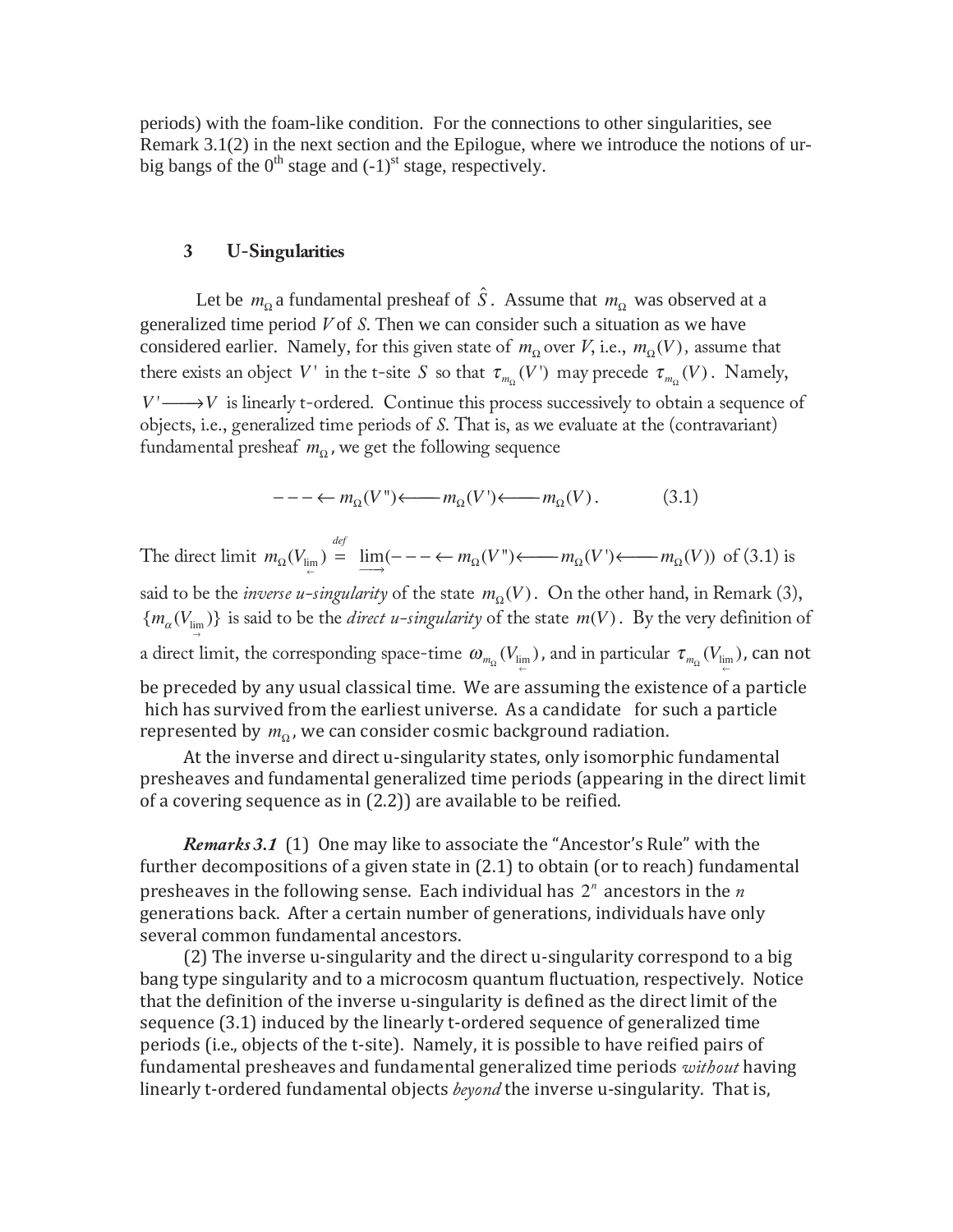periods) with the foam-like condition. For the connections to other singularities, see Remark 3.1(2) in the next section and the Epilogue, where we introduce the notions of urbig bangs of the  $0<sup>th</sup>$  stage and  $(-1)<sup>st</sup>$  stage, respectively.

## **3 U-Singularities**

Let be  $m_{\Omega}$  a fundamental presheaf of  $\hat{S}$ . Assume that  $m_{\Omega}$  was observed at a generalized time period *V* of *S*. Then we can consider such a situation as we have considered earlier. Namely, for this given state of  $m_{\Omega}$  over *V*, i.e.,  $m_{\Omega}(V)$ , assume that there exists an object *V* ' in the t-site *S* so that  $\tau_{m_0}(V)$  may precede  $\tau_{m_0}(V)$ . Namely,  $V' \longrightarrow V$  is linearly t-ordered. Continue this process successively to obtain a sequence of objects, i.e., generalized time periods of *S*. That is, as we evaluate at the (contravariant) fundamental presheaf  $m<sub>o</sub>$ , we get the following sequence

 $- - - \leftarrow m_{\text{o}}(V^{\prime\prime}) \leftarrow m_{\text{o}}(V^{\prime}) \leftarrow m_{\text{o}}(V)$ . (3.1)

The direct limit  $m_{\Omega}(V_{\text{lim}}) = \lim_{m \to \infty} (- - \leftarrow m_{\Omega}(V^{m}) \leftarrow m_{\Omega}(V^{m}) \leftarrow m_{\Omega}(V^{m})$  of (3.1) is

said to be the *inverse u-singularity* of the state  $m<sub>Ω</sub>(V)$ . On the other hand, in Remark (3),  ${m_\alpha(V_{\text{lim}})}$ )} is said to be the *direct u-singularity* of the state  $m(V)$ . By the very definition of a direct limit, the corresponding space-time  $\omega_{m_\Omega}(V_{\lim\limits_{\leftarrow})}$ , and in particular  $\tau_{m_\Omega}(V_{\lim\limits_{\leftarrow})}$ , can not be preceded by any usual classical time. We are assuming the existence of a particle hich has survived from the earliest universe. As a candidate for such a particle

represented by  $\,m_{_\Omega}^{}$ , we can consider cosmic background radiation. At the inverse and direct u-singularity states, only isomorphic fundamental presheaves and fundamental generalized time periods (appearing in the direct limit

of a covering sequence as in (2.2)) are available to be reified.

Remarks 3.1 (1) One may like to associate the "Ancestor's Rule" with the further decompositions of a given state in (2.1) to obtain (or to reach) fundamental presheaves in the following sense. Each individual has  $2^n$  ancestors in the  $n$ generations back. After a certain number of generations, individuals have only several common fundamental ancestors.

(2) The inverse u-singularity and the direct u-singularity correspond to a big bang type singularity and to a microcosm quantum fluctuation, respectively. Notice that the definition of the inverse u-singularity is defined as the direct limit of the sequence (3.1) induced by the linearly t-ordered sequence of generalized time periods (i.e., objects of the t-site). Namely, it is possible to have reified pairs of fundamental presheaves and fundamental generalized time periods without having linearly t-ordered fundamental objects *beyond* the inverse u-singularity. That is,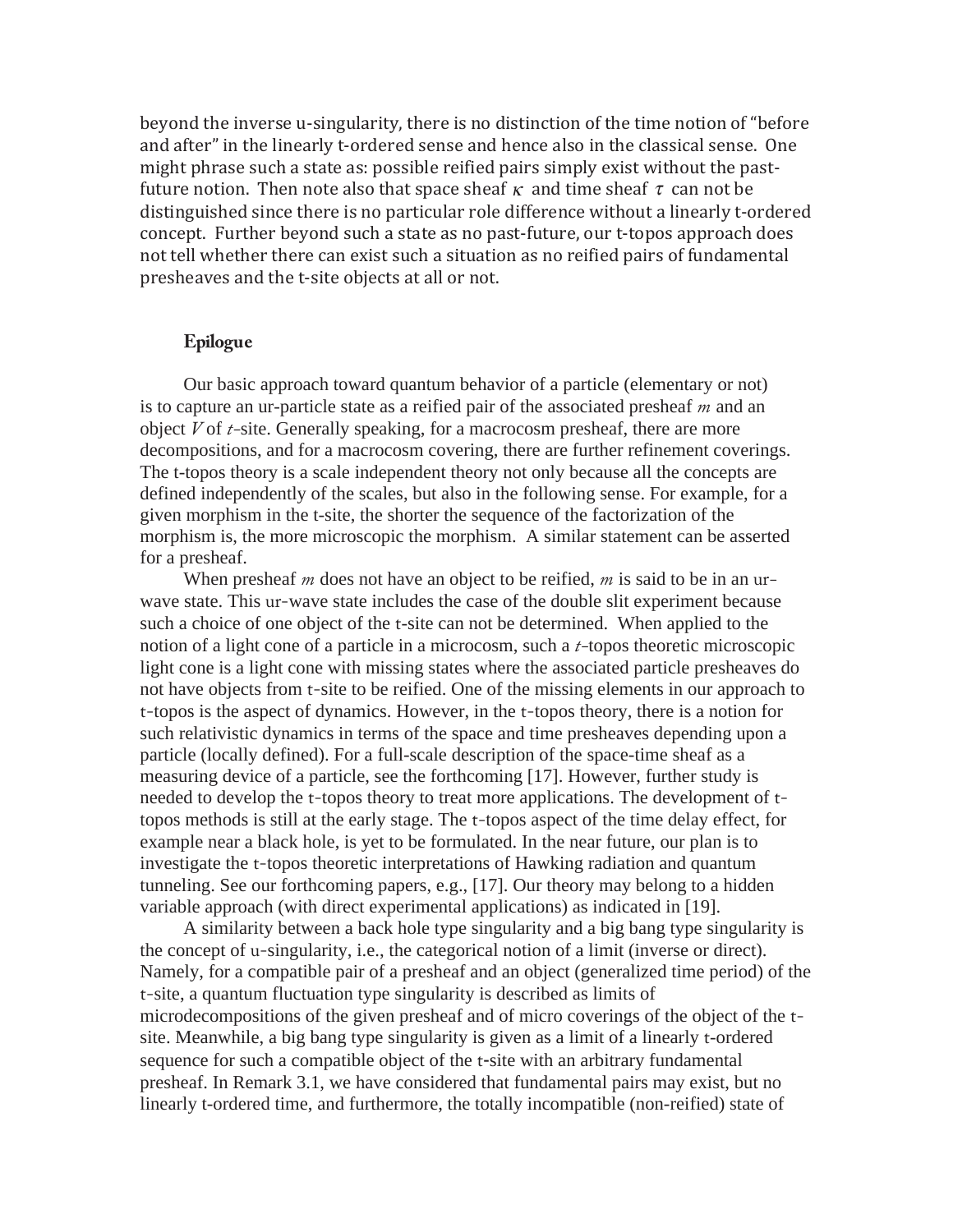beyond the inverse u-singularity, there is no distinction of the time notion of "before and after" in the linearly t-ordered sense and hence also in the classical sense. One might phrase such a state as: possible reified pairs simply exist without the pastfuture notion. Then note also that space sheaf  $\kappa$  and time sheaf  $\tau$  can not be distinguished since there is no particular role difference without a linearly t-ordered concept. Further beyond such a state as no past-future, our t-topos approach does not tell whether there can exist such a situation as no reified pairs of fundamental presheaves and the t-site objects at all or not.

### **Epilogue**

Our basic approach toward quantum behavior of a particle (elementary or not) is to capture an ur-particle state as a reified pair of the associated presheaf *m* and an object *V* of *t-*site. Generally speaking, for a macrocosm presheaf, there are more decompositions, and for a macrocosm covering, there are further refinement coverings. The t-topos theory is a scale independent theory not only because all the concepts are defined independently of the scales, but also in the following sense. For example, for a given morphism in the t-site, the shorter the sequence of the factorization of the morphism is, the more microscopic the morphism. A similar statement can be asserted for a presheaf.

 When presheaf *m* does not have an object to be reified, *m* is said to be in an urwave state. This ur-wave state includes the case of the double slit experiment because such a choice of one object of the t-site can not be determined. When applied to the notion of a light cone of a particle in a microcosm, such a *t-*topos theoretic microscopic light cone is a light cone with missing states where the associated particle presheaves do not have objects from t-site to be reified. One of the missing elements in our approach to t-topos is the aspect of dynamics. However, in the t-topos theory, there is a notion for such relativistic dynamics in terms of the space and time presheaves depending upon a particle (locally defined). For a full-scale description of the space-time sheaf as a measuring device of a particle, see the forthcoming [17]. However, further study is needed to develop the t-topos theory to treat more applications. The development of ttopos methods is still at the early stage. The t-topos aspect of the time delay effect, for example near a black hole, is yet to be formulated. In the near future, our plan is to investigate the t-topos theoretic interpretations of Hawking radiation and quantum tunneling. See our forthcoming papers, e.g., [17]. Our theory may belong to a hidden variable approach (with direct experimental applications) as indicated in [19].

A similarity between a back hole type singularity and a big bang type singularity is the concept of u-singularity, i.e., the categorical notion of a limit (inverse or direct). Namely, for a compatible pair of a presheaf and an object (generalized time period) of the t-site, a quantum fluctuation type singularity is described as limits of microdecompositions of the given presheaf and of micro coverings of the object of the tsite. Meanwhile, a big bang type singularity is given as a limit of a linearly t-ordered sequence for such a compatible object of the t-site with an arbitrary fundamental presheaf. In Remark 3.1, we have considered that fundamental pairs may exist, but no linearly t-ordered time, and furthermore, the totally incompatible (non-reified) state of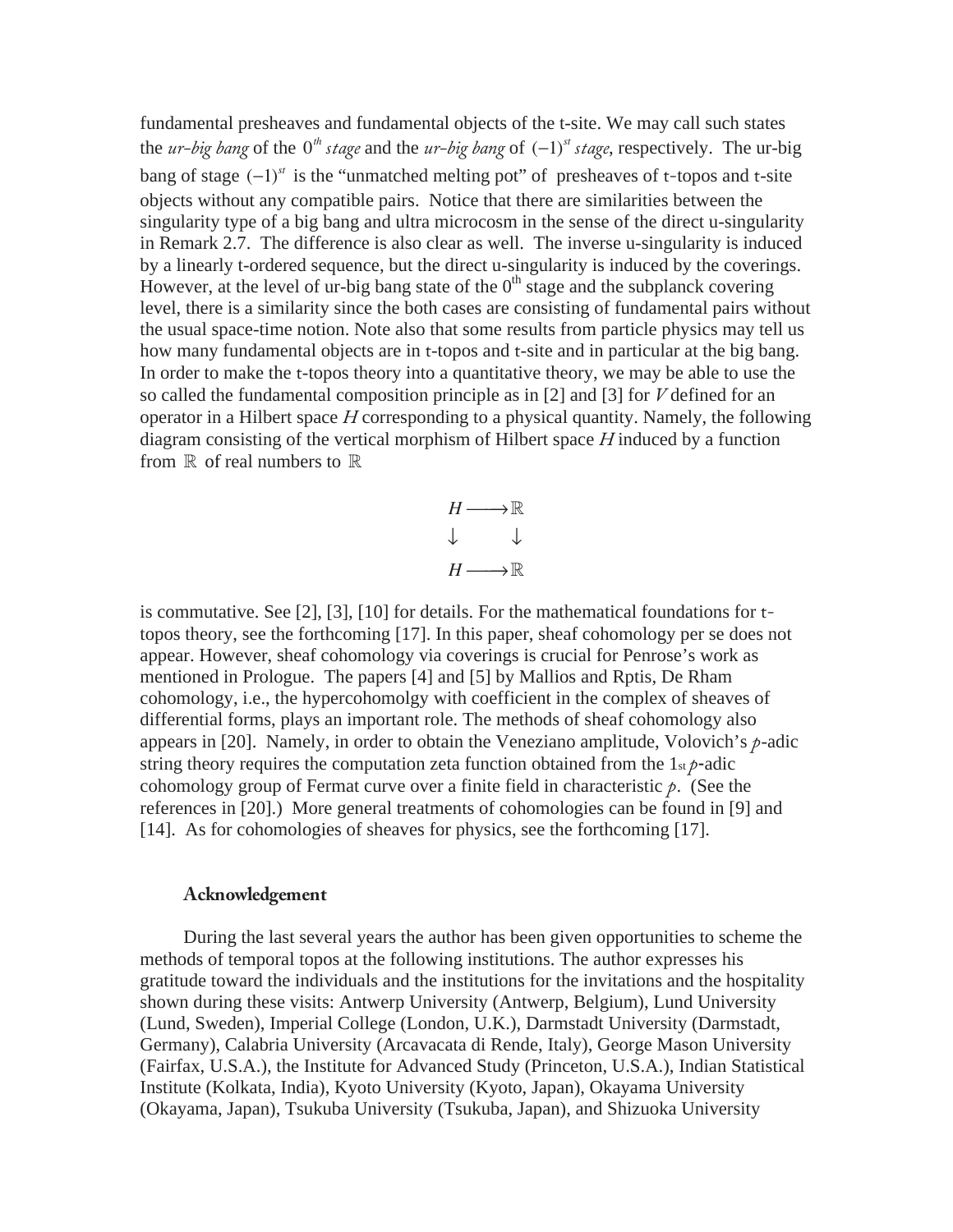fundamental presheaves and fundamental objects of the t-site. We may call such states the *ur-big bang* of the 0*th stage* and the *ur-big bang* of (−1)*st stage*, respectively. The ur-big bang of stage (−1)*st* is the "unmatched melting pot" of presheaves of t-topos and t-site objects without any compatible pairs. Notice that there are similarities between the singularity type of a big bang and ultra microcosm in the sense of the direct u-singularity in Remark 2.7. The difference is also clear as well. The inverse u-singularity is induced by a linearly t-ordered sequence, but the direct u-singularity is induced by the coverings. However, at the level of ur-big bang state of the  $0<sup>th</sup>$  stage and the subplanck covering level, there is a similarity since the both cases are consisting of fundamental pairs without the usual space-time notion. Note also that some results from particle physics may tell us how many fundamental objects are in t-topos and t-site and in particular at the big bang. In order to make the t-topos theory into a quantitative theory, we may be able to use the so called the fundamental composition principle as in [2] and [3] for *V* defined for an operator in a Hilbert space *H* corresponding to a physical quantity. Namely, the following diagram consisting of the vertical morphism of Hilbert space *H* induced by a function from  $\mathbb R$  of real numbers to  $\mathbb R$ 



is commutative. See [2], [3], [10] for details. For the mathematical foundations for ttopos theory, see the forthcoming [17]. In this paper, sheaf cohomology per se does not appear. However, sheaf cohomology via coverings is crucial for Penrose's work as mentioned in Prologue. The papers [4] and [5] by Mallios and Rptis, De Rham cohomology, i.e., the hypercohomolgy with coefficient in the complex of sheaves of differential forms, plays an important role. The methods of sheaf cohomology also appears in [20]. Namely, in order to obtain the Veneziano amplitude, Volovich's *p*-adic string theory requires the computation zeta function obtained from the  $1<sub>st</sub> \rho$ -adic cohomology group of Fermat curve over a finite field in characteristic *p*. (See the references in [20].) More general treatments of cohomologies can be found in [9] and [14]. As for cohomologies of sheaves for physics, see the forthcoming [17].

## **Acknowledgement**

During the last several years the author has been given opportunities to scheme the methods of temporal topos at the following institutions. The author expresses his gratitude toward the individuals and the institutions for the invitations and the hospitality shown during these visits: Antwerp University (Antwerp, Belgium), Lund University (Lund, Sweden), Imperial College (London, U.K.), Darmstadt University (Darmstadt, Germany), Calabria University (Arcavacata di Rende, Italy), George Mason University (Fairfax, U.S.A.), the Institute for Advanced Study (Princeton, U.S.A.), Indian Statistical Institute (Kolkata, India), Kyoto University (Kyoto, Japan), Okayama University (Okayama, Japan), Tsukuba University (Tsukuba, Japan), and Shizuoka University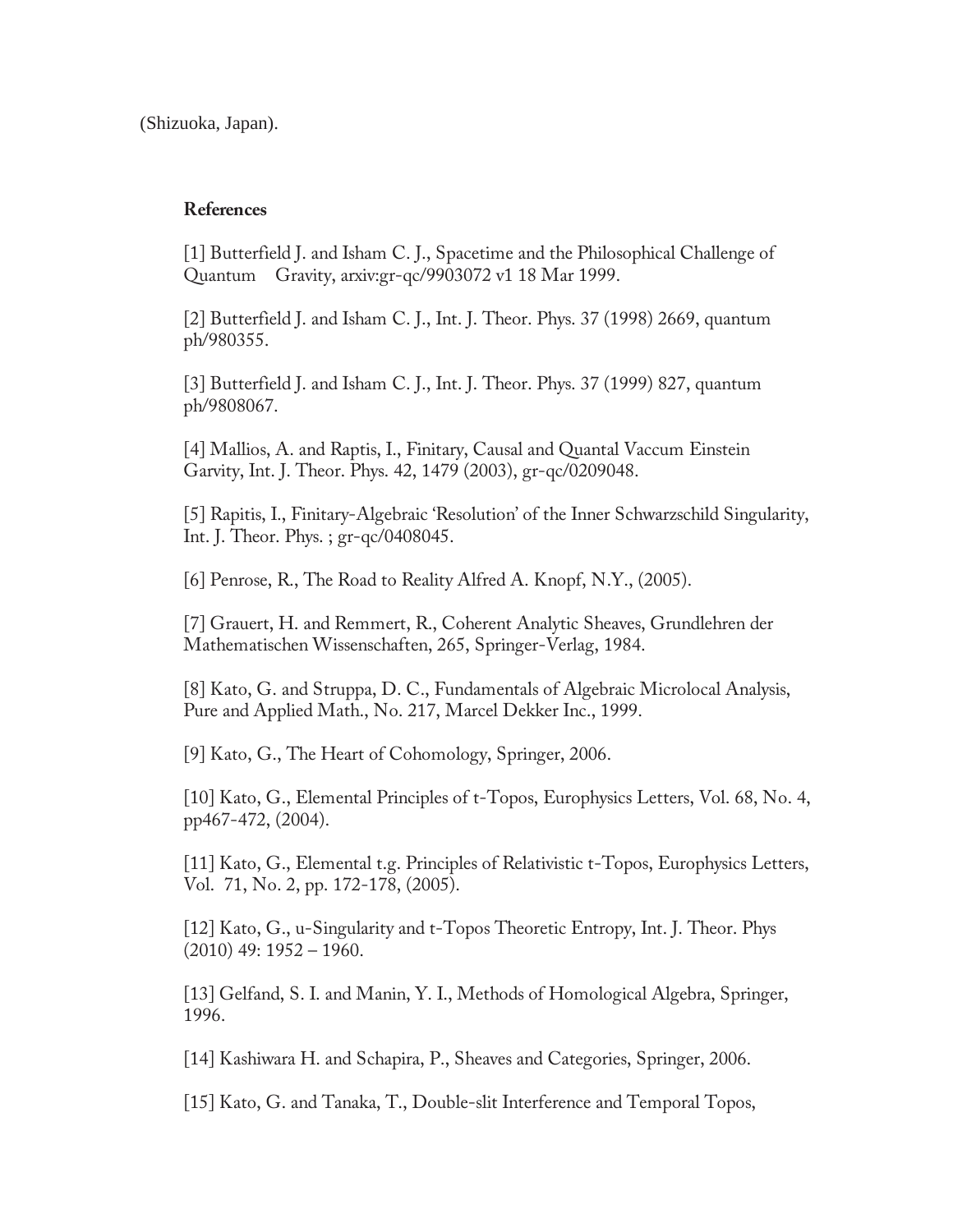(Shizuoka, Japan).

## **References**

[1] Butterfield J. and Isham C. J., Spacetime and the Philosophical Challenge of Quantum Gravity, arxiv:gr-qc/9903072 v1 18 Mar 1999.

[2] Butterfield J. and Isham C. J., Int. J. Theor. Phys. 37 (1998) 2669, quantum ph/980355.

[3] Butterfield J. and Isham C. J., Int. J. Theor. Phys. 37 (1999) 827, quantum ph/9808067.

[4] Mallios, A. and Raptis, I., Finitary, Causal and Quantal Vaccum Einstein Garvity, Int. J. Theor. Phys. 42, 1479 (2003), gr-qc/0209048.

[5] Rapitis, I., Finitary-Algebraic 'Resolution' of the Inner Schwarzschild Singularity, Int. J. Theor. Phys. ; gr-qc/0408045.

[6] Penrose, R., The Road to Reality Alfred A. Knopf, N.Y., (2005).

[7] Grauert, H. and Remmert, R., Coherent Analytic Sheaves, Grundlehren der Mathematischen Wissenschaften, 265, Springer-Verlag, 1984.

[8] Kato, G. and Struppa, D. C., Fundamentals of Algebraic Microlocal Analysis, Pure and Applied Math., No. 217, Marcel Dekker Inc., 1999.

[9] Kato, G., The Heart of Cohomology, Springer, 2006.

[10] Kato, G., Elemental Principles of t-Topos, Europhysics Letters, Vol. 68, No. 4, pp467-472, (2004).

[11] Kato, G., Elemental t.g. Principles of Relativistic t-Topos, Europhysics Letters, Vol. 71, No. 2, pp. 172-178, (2005).

[12] Kato, G., u-Singularity and t-Topos Theoretic Entropy, Int. J. Theor. Phys  $(2010)$  49: 1952 – 1960.

[13] Gelfand, S. I. and Manin, Y. I., Methods of Homological Algebra, Springer, 1996.

[14] Kashiwara H. and Schapira, P., Sheaves and Categories, Springer, 2006.

[15] Kato, G. and Tanaka, T., Double-slit Interference and Temporal Topos,